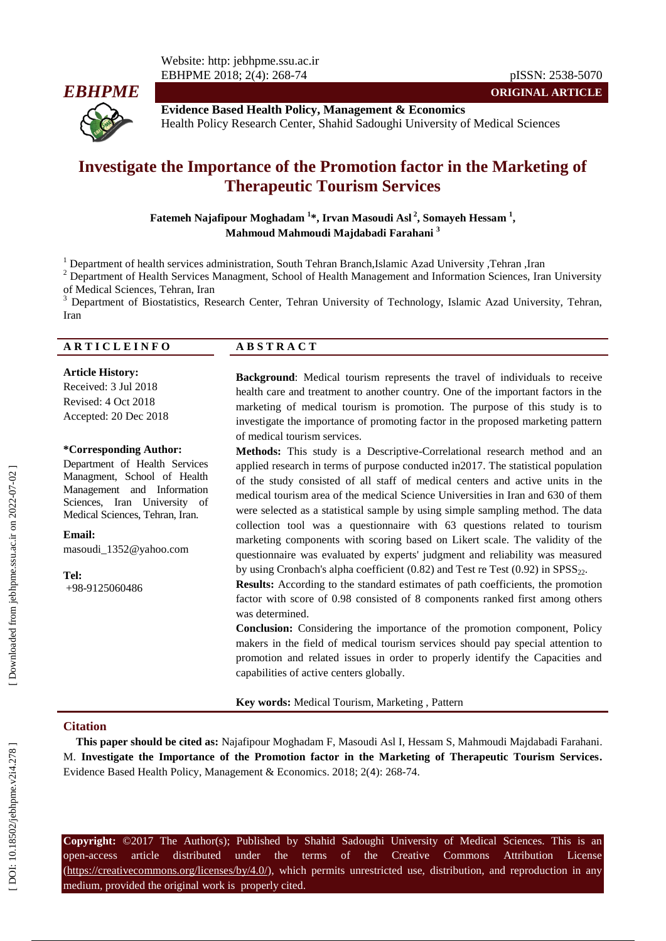

**ORIGINAL ARTICLE Evidence Based Health Policy, Management & Economics** Health Policy Research Center, Shahid Sadoughi University of Medical Sciences

# **Investigate the Importance of the Promotion factor in the Marketing of Therapeutic Tourism Services**

**Fatemeh Najafipour Moghadam 1 \*, Irvan Masoudi Asl 2 , Somayeh Hessam 1 , Mahmoud Mahmoudi Majdabadi Farahani 3**

<sup>1</sup> Department of health services administration, South Tehran Branch,Islamic Azad University ,Tehran ,Iran  $\frac{2}{1}$  Department of Health Services Managment, School of Health Management and Information Sciences, Iran Uni of Medical Sciences, Tehran, Iran<br><sup>3</sup> Department of Biostatistics, Research Center, Tehran University of Technology, Islamic Azad University, Tehran,

Iran

#### **A R T I C L E I N F O A B S T R A C T**

**Article History:** Received: 3 Ju l 2018 Revised: 4 Oct 2018 Accepted: 20 Dec 2018

#### **\*Corresponding Author:**

Department of Health Services Managment, School of Health Management and Information Sciences, Iran University of Medical Sciences, Tehran, Iran .

**Email:** masoudi\_1352@yahoo.com

**Tel:** +98 -9125060486

**Background** : Medical tourism represents the travel of individuals to receive health care and treatment to another country. One of the important factors in the marketing of medical tourism is promotion. The purpose of this study is to investigate the importance of promoting factor in the proposed marketing pattern of medical tourism services.

**Methods :** This study is a Descriptive -Correlational research method and an applied research in terms of purpose conducted in2017. The statistical population of the study consisted of all staff of medical centers and active units in the medical tourism area of the medical Science Universities in Iran and 630 of them were selected as a statistical sample by using simple sampling method. The data collection tool was a questionnaire with 63 questions related to tourism marketing components with scoring based on Likert scale. The validity of the questionnaire was evaluated by experts' judgment and reliability was measured by using Cronbach's alpha coefficient  $(0.82)$  and Test re Test  $(0.92)$  in  $SPSS_{22}$ .

**Results:** According to the standard estimates of path coefficients, the promotion factor with score of 0 .98 consisted of 8 components ranked first among others was determined.

**Conclusion:** Considering the importance of the promotion component, Policy makers in the field of medical tourism services should pay special attention to promotion and related issues in order to properly identify the Capacities and capabilities of active centers globally.

**Key words :** Medical Tourism, Marketing , Pattern

#### **Citation**

**This paper should be cited as:** Najafipour Moghadam F, Masoudi Asl I, Hessam S, Mahmoudi Majdabadi Farahani. M. **Investigate the Importance of the Promotion factor in the Marketing of Therapeutic Tourism Services .** Evidence Based Health Policy, Management & Economics. 2018; 2( 4): 268 -74 .

**Copyright:** ©2017 The Author(s); Published by Shahid Sadoughi University of Medical Sciences. This is an open-access -access article distributed under the terms of the Creative Commons Attribution License (https://creativecommons.org/licenses/by/4.0/), which permits unrestricted use, distribution, and reproduction in any medium, provided the original work is properly cited.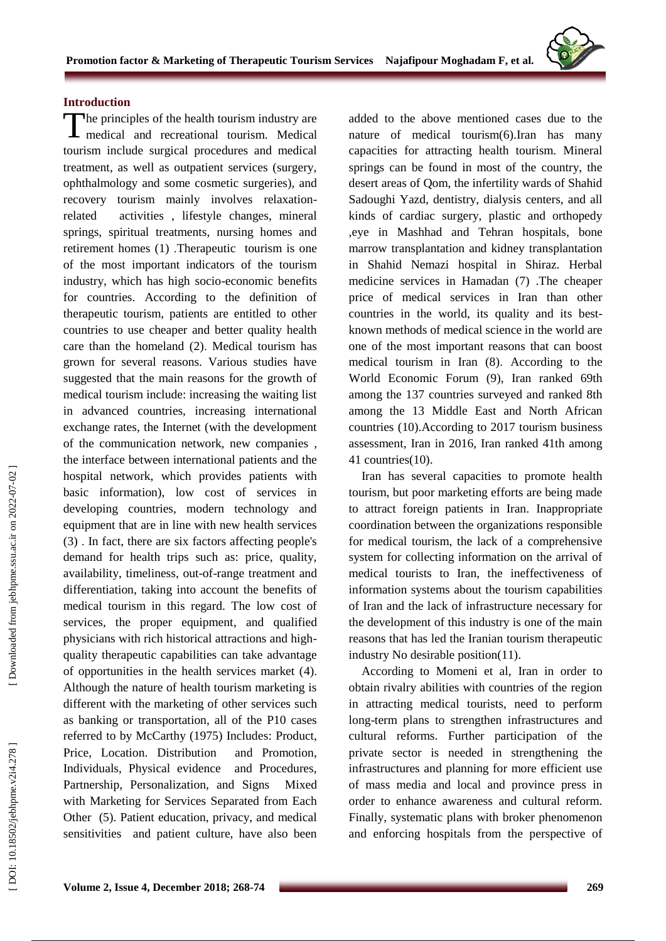

#### **Introduction**

The principles of the health tourism industry are<br>medical and recreational tourism. Medical medical and recreational tourism. Medical tourism include surgical procedures and medical treatment, as well as outpatient services (surgery, ophthalmology and some cosmetic surgeries), and recovery tourism mainly involves relaxation related activities , lifestyle changes, mineral springs, spiritual treatments, nursing homes and retirement homes ( 1 ) .Therapeutic tourism is one of the most important indicators of the tourism industry, which has high socio -economic benefits for countries. According to the definition of therapeutic tourism, patients are entitled to other countries to use cheaper and better quality health care than the homeland ( 2 ) . Medical tourism has grown for several reasons. Various studies have suggested that the main reasons for the growth of medical tourism include: increasing the waiting list in advanced countries, increasing international exchange rates, the Internet (with the development of the communication network, new companies , the interface between international patients and the hospital network, which provides patients with basic information), low cost of services in developing countries, modern technology and equipment that are in line with new health services (3) . In fact, there are six factors affecting people's demand for health trips such as: price, quality, availability, timeliness, out -of -range treatment and differentiation, taking into account the benefits of medical tourism in this regard. The low cost of services, the proper equipment, and qualified physicians with rich historical attractions and high quality therapeutic capabilities can take advantage of opportunities in the health services market ( 4 ) . Although the nature of health tourism marketing is different with the marketing of other services such as banking or transportation, all of the P10 cases referred to by McCarthy (1975) Includes: Product, Price, Location. Distribution and Promotion, Individuals, Physical evidence and Procedures, Partnership, Personalization, and Signs Mixed with Marketing for Services Separated from Each Other (5). Patient education, privacy, and medical sensitivities and patient culture, have also been

added to the above mentioned cases due to the nature of medical tourism(6).Iran has many capacities for attracting health tourism. Mineral springs can be found in most of the country, the desert areas of Qom, the infertility wards of Shahid Sadoughi Yazd, dentistry, dialysis centers, and all kinds of cardiac surgery, plastic and orthopedy ,eye in Mashhad and Tehran hospitals, bone marrow transplantation and kidney transplantation in Shahid Nemazi hospital in Shiraz. Herbal medicine services in Hamadan (7) .The cheaper price of medical services in Iran than other countries in the world, its quality and its best known methods of medical science in the world are one of the most important reasons that can boost medical tourism in Iran (8) . According to the World Economic Forum (9), Iran ranked 69th among the 137 countries surveyed and ranked 8th among the 13 Middle East and North African countries (10).According to 2017 tourism business assessment, Iran in 2016, Iran ranked 41th among 41 countries(10).

Iran has several capacities to promote health tourism, but poor marketing efforts are being made to attract foreign patients in Iran. Inappropriate coordination between the organizations responsible for medical tourism, the lack of a comprehensive system for collecting information on the arrival of medical tourists to Iran, the ineffectiveness of information systems about the tourism capabilities of Iran and the lack of infrastructure necessary for the development of this industry is one of the main reasons that has led the Iranian tourism therapeutic industry No desirable position(11).

According to Momeni et al, Iran in order to obtain rivalry abilities with countries of the region in attracting medical tourists, need to perform long -term plans to strengthen infrastructures and cultural reforms. Further participation of the private sector is needed in strengthening the infrastructures and planning for more efficient use of mass media and local and province press in order to enhance awareness and cultural reform. Finally, systematic plans with broker phenomenon and enforcing hospitals from the perspective of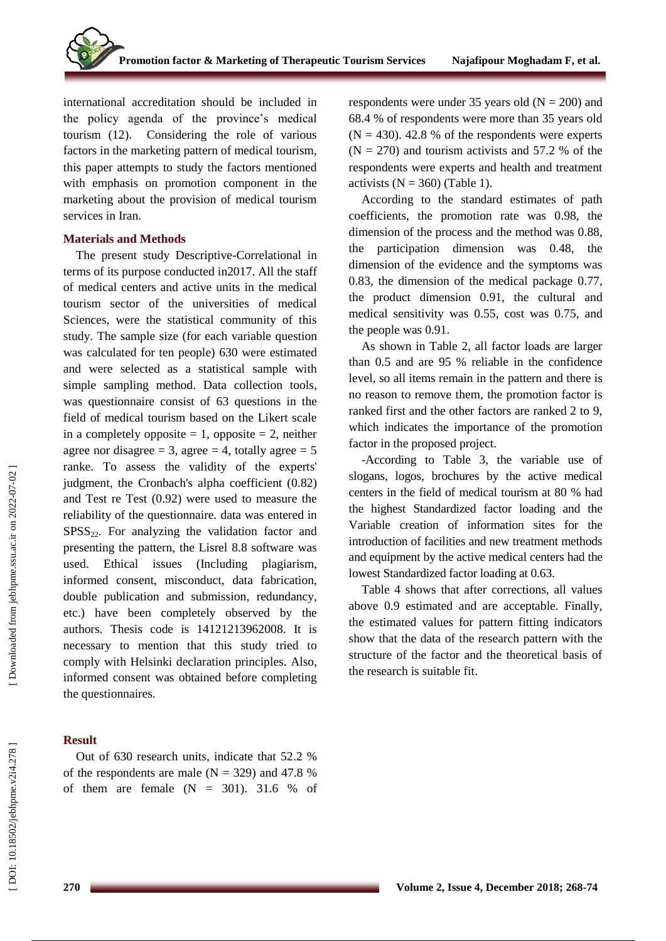international accreditation should be included in the policy agenda of the province's medical tourism (12). Considering the role of various factors in the marketing pattern of medical tourism, this paper attempts to study the factors mentioned with emphasis on promotion component in the marketing about the provision of medical tourism services in Iran.

#### **Materials and Methods**

The present study Descriptive -Correlational in terms of its purpose conducted in2017. All the staff of medical centers and active units in the medical tourism sector of the universities of medical Sciences, were the statistical community of this study. The sample size (for each variable question was calculated for ten people) 630 were estimated and were selected as a statistical sample with simple sampling method. Data collection tools, was questionnaire consist of 63 questions in the field of medical tourism based on the Likert scale in a completely opposite  $= 1$ , opposite  $= 2$ , neither agree nor disagree = 3, agree = 4, totally agree =  $5$ ranke. To assess the validity of the experts' judgment, the Cronbach's alpha coefficient (0 .82) and Test re Test (0 .92) were used to measure the reliability of the questionnaire. data was entered in  $SPSS<sub>22</sub>$ . For analyzing the validation factor and presenting the pattern, the Lisrel 8.8 software was used. Ethical issues (Including plagiarism, informed consent , misconduct, data fabrication, double publication and submission, redundancy, etc.) have been completely observed by the authors. Thesis code is 14121213962008. It is necessary to mention that this study tried to comply with Helsinki declaration principles. Also, informed consent was obtained before completing the questionnaires.

## **Result**

Out of 630 research units, indicate that 52 .2 % of the respondents are male  $(N = 329)$  and 47.8 % of them are female  $(N = 301)$ . 31.6 % of

respondents were under 35 years old  $(N = 200)$  and 68 .4 % of respondents were more than 35 years old  $(N = 430)$ . 42.8 % of the respondents were experts  $(N = 270)$  and tourism activists and 57.2 % of the respondents were experts and health and treatment activists  $(N = 360)$  (Table 1).

According to the standard estimates of path coefficients, the promotion rate was 0 .98, the dimension of the process and the method was 0 .88, the participation dimension was 0 .48, the dimension of the evidence and the symptoms was 0.83, the dimension of the medical package 0.77, the product dimension 0 .91, the cultural and medical sensitivity was 0 .55, cost was 0 .75, and the people was 0 .91.

As shown in Table 2, all factor loads are larger than 0.5 and are 95 % reliable in the confidence level, so all items remain in the pattern and there is no reason to remove them, the promotion factor is ranked first and the other factors are ranked 2 to 9, which indicates the importance of the promotion factor in the proposed project. -According to Table 3, the variable use of

slogans, logos, brochures by the active medical centers in the field of medical tourism at 80 % had the highest Standardized factor loading and the Variable creation of information sites for the introduction of facilities and new treatment methods and equipment by the active medical centers had the lowest Standardized factor loading at 0.63.

Table 4 shows that after corrections, all values above 0 .9 estimated and are acceptable. Finally, the estimated values for pattern fitting indicators show that the data of the research pattern with the structure of the factor and the theoretical basis of the research is suitable fit .

Downloaded from jebhpme.ssu.ac.ir on 2022-07-02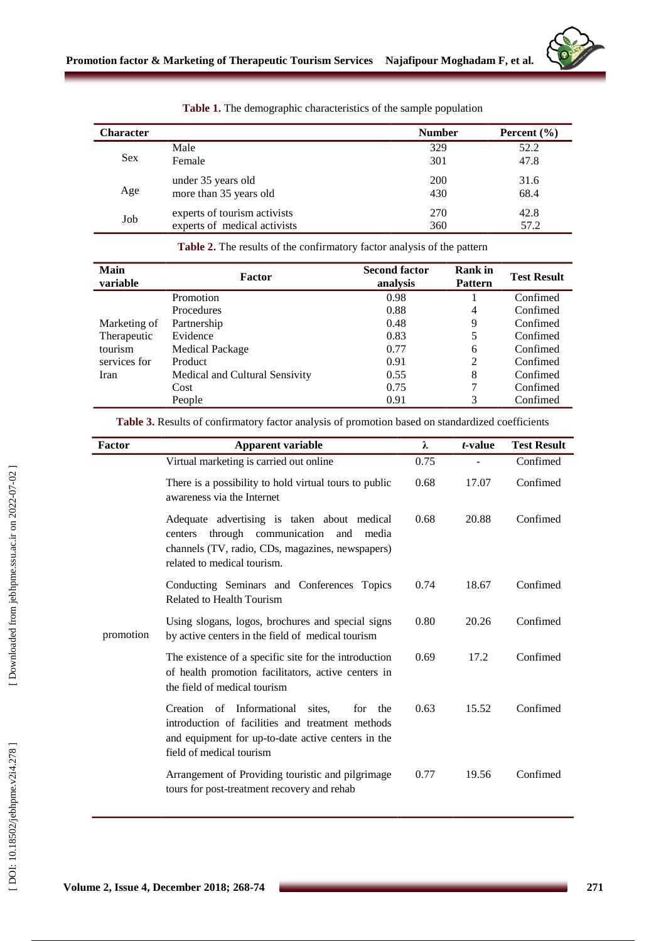

| <b>Character</b> |                              | <b>Number</b> | Percent $(\% )$ |
|------------------|------------------------------|---------------|-----------------|
|                  | Male                         | 329           | 52.2            |
| <b>Sex</b>       | Female                       | 301           | 47.8            |
|                  | under 35 years old           | <b>200</b>    | 31.6            |
| Age              | more than 35 years old       | 430           | 68.4            |
| Job              | experts of tourism activists | 270           | 42.8            |
|                  | experts of medical activists | 360           | 57.2            |

**Table 1.** The demographic characteristics of the sample population

**Table 2 .** The results of the confirmatory factor analysis of the pattern

| Main<br>variable | <b>Factor</b>                  | <b>Second factor</b><br>analysis | <b>Rank</b> in<br><b>Pattern</b> | <b>Test Result</b> |
|------------------|--------------------------------|----------------------------------|----------------------------------|--------------------|
|                  | <b>Promotion</b>               | 0.98                             |                                  | Confimed           |
|                  | Procedures                     | 0.88                             | 4                                | Confimed           |
| Marketing of     | Partnership                    | 0.48                             | 9                                | Confimed           |
| Therapeutic      | Evidence                       | 0.83                             | 5                                | Confimed           |
| tourism          | Medical Package                | 0.77                             | 6                                | Confimed           |
| services for     | Product                        | 0.91                             | 2                                | Confimed           |
| Iran             | Medical and Cultural Sensivity | 0.55                             | 8                                | Confimed           |
|                  | Cost                           | 0.75                             | 7                                | Confimed           |
|                  | People                         | 0.91                             | 3                                | Confimed           |

|  |  |  |  |  |  |  |  | Table 3. Results of confirmatory factor analysis of promotion based on standardized coefficients |  |
|--|--|--|--|--|--|--|--|--------------------------------------------------------------------------------------------------|--|
|--|--|--|--|--|--|--|--|--------------------------------------------------------------------------------------------------|--|

| <b>Factor</b> | <b>Apparent variable</b>                                                                                                                                                                | λ    | $t$ -value | <b>Test Result</b> |
|---------------|-----------------------------------------------------------------------------------------------------------------------------------------------------------------------------------------|------|------------|--------------------|
|               | Virtual marketing is carried out online                                                                                                                                                 | 0.75 |            | Confimed           |
|               | There is a possibility to hold virtual tours to public<br>awareness via the Internet                                                                                                    | 0.68 | 17.07      | Confimed           |
|               | Adequate advertising is taken about medical<br>through communication<br>and<br>media<br>centers<br>channels (TV, radio, CDs, magazines, newspapers)<br>related to medical tourism.      | 0.68 | 20.88      | Confimed           |
|               | Conducting Seminars and Conferences Topics<br>Related to Health Tourism                                                                                                                 | 0.74 | 18.67      | Confimed           |
| promotion     | Using slogans, logos, brochures and special signs<br>by active centers in the field of medical tourism                                                                                  | 0.80 | 20.26      | Confimed           |
|               | The existence of a specific site for the introduction<br>of health promotion facilitators, active centers in<br>the field of medical tourism                                            | 0.69 | 17.2       | Confimed           |
|               | Creation of Informational<br>sites.<br>the<br>for<br>introduction of facilities and treatment methods<br>and equipment for up-to-date active centers in the<br>field of medical tourism | 0.63 | 15.52      | Confimed           |
|               | Arrangement of Providing touristic and pilgrimage<br>tours for post-treatment recovery and rehab                                                                                        | 0.77 | 19.56      | Confimed           |

[Downloaded from jebhpme.ssu.ac.ir on 2022-07-02]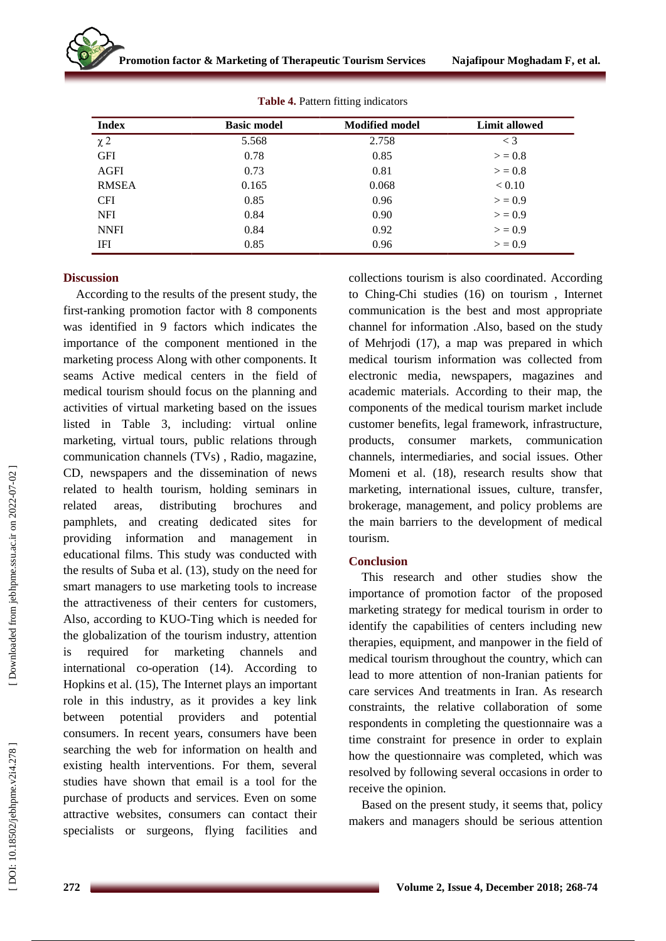| <b>Index</b> | <b>Basic model</b> | <b>Modified model</b> | <b>Limit allowed</b> |
|--------------|--------------------|-----------------------|----------------------|
| $\chi$ 2     | 5.568              | 2.758                 | $\lt$ 3              |
| <b>GFI</b>   | 0.78               | 0.85                  | > 0.8                |
| AGFI         | 0.73               | 0.81                  | > 0.8                |
| <b>RMSEA</b> | 0.165              | 0.068                 | < 0.10               |
| <b>CFI</b>   | 0.85               | 0.96                  | > 0.9                |
| <b>NFI</b>   | 0.84               | 0.90                  | > 0.9                |
| <b>NNFI</b>  | 0.84               | 0.92                  | > 0.9                |
| IFI          | 0.85               | 0.96                  | > 0.9                |

**Table 4.** Pattern fitting indicators

#### **Discussion**

According to the results of the present study, the first -ranking promotion factor with 8 components was identified in 9 factors which indicates the importance of the component mentioned in the marketing process Along with other components. It seams Active medical centers in the field of medical tourism should focus on the planning and activities of virtual marketing based on the issues listed in Table 3, including: virtual online marketing, virtual tours, public relations through communication channels (TVs) , Radio, magazine, CD, newspapers and the dissemination of news related to health tourism, holding seminars in related areas, distributing brochures and pamphlets, and creating dedicated sites for providing information and management in educational films. This study was conducted with the results of Suba et al. (13), study on the need for smart managers to use marketing tools to increase the attractiveness of their centers for customers, Also, according to KUO -Ting which is needed for the globalization of the tourism industry, attention is required for marketing channels and international co -operation (14 ) . According to Hopkins et al. (15), The Internet plays an important role in this industry, as it provides a key link between potential providers and potential consumers. In recent years, consumers have been searching the web for information on health and existing health interventions. For them, several studies have shown that email is a tool for the purchase of products and services. Even on some attractive websites, consumers can contact their specialists or surgeons, flying facilities and

collections tourism is also coordinated. According to Ching -Chi st udies (16) on tourism , Internet communication is the best and most appropriate channel for information .Also, based on the study of Mehrjodi (17), a map was prepared in which medical tourism information was collected from electronic media, newspapers, magazines and academic materials. According to their map, the components of the medical tourism market include customer benefits, legal framework, infrastructure, products, consumer markets, communication channels, intermediaries, and social issues. Other Momeni et al. (18), research results show that marketing, international issues, culture, transfer, brokerage, management, and policy problems are the main barriers to the development of medical tourism .

## **Conclusion**

This research and other studies show the importance of promotion factor of the proposed marketing strategy for medical tourism in order to identify the capabilities of centers including new therapies, equipment, and manpower in the field of medical tourism throughout the country, which can lead to more attention of non -Iranian patients for care services And treatments in Iran. As research constraints, the relative collaboration of some respondents in completing the questionnaire was a time constraint for presence in order to explain how the questionnaire was completed, which was resolved by following several occasions in order to receive the opinion.

Based on the present study, it seems that, policy makers and managers should be serious attention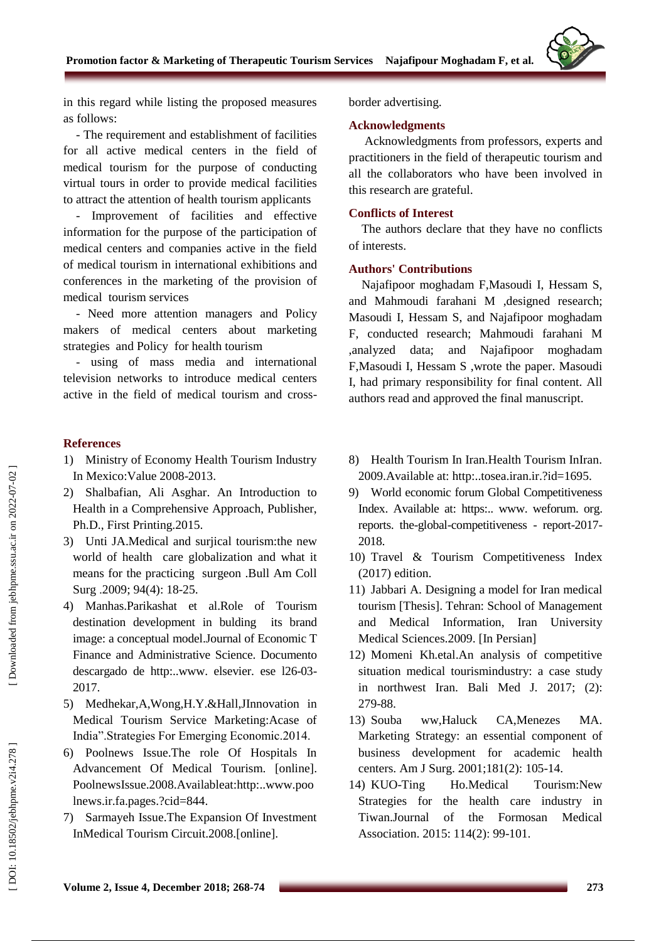

in this regard while listing the proposed measures as follows :

- The requirement and establishment of facilities for all active medical centers in the field of medical tourism for the purpose of conducting virtual tours in order to provide medical facilities to attract the attention of health tourism applicants

- Improvement of facilities and effective information for the purpose of the participation of medical centers and companies active in the field of medical tourism in international exhibitions and conferences in the marketing of the provision of medical tourism services

- Need more attention managers and Policy makers of medical centers about marketing strategies and Policy for health tourism

- using of mass media and international television networks to introduce medical centers active in the field of medical tourism and cross -

### **References**

- 1) Ministry of Economy Health Tourism Industry In Mexico:Value 2008 -2013.
- 2) Shalbafian, Ali Asghar. An Introduction to Health in a Comprehensive Approach, Publisher, Ph.D., First Printing.2015.
- 3) Unti JA.Medical and surjical tourism:the new world of health care globalization and what it means for the practicing surgeon .Bull Am Coll Surg .2009; 94(4): 18-25.
- 4) Manhas.Parikashat et al.Role of Tourism destination development in bulding its brand image: a conceptual model.Journal of Economic T Finance and Administrative Science. Documento descargado de http:..www. elsevier. es e l26 -03 - 2017.
- 5) Medhekar,A,Wong,H.Y.&Hall,JInnovation in Medical Tourism Service Marketing:Acase of India".Strategies For Emerging Economic.2014.
- 6) Poolnews Issue.The role Of Hospitals In Advancement Of Medical Tourism. [online]. PoolnewsIssue.2008.Availableat[:http:..www.poo](http://www.poolnews.ir/fa/pages/?cid=844) lnews.ir .fa .pages [.?cid=844](http://www.poolnews.ir/fa/pages/?cid=844) .
- 7) Sarmayeh Issue.The Expansion Of Investment InMedical Tourism Circuit.2008.[online].

border advertising .

#### **Acknowledgments**

Acknowledgments from professors, experts and practitioners in the field of therapeutic tourism and all the collaborators who have been involved in this research are grateful.

### **Conflicts of Interest**

The authors declare that they have no conflicts of interests.

### **Authors' Contributions**

Najafipoor moghadam F,Masoudi I, Hessam S, and Mahmoudi farahani M ,designed research; Masoudi I, Hessam S, and Najafipoor moghadam F, conducted research; Mahmoudi farahani M ,analyzed data; and Najafipoor moghadam F,Masoudi I, Hessam S ,wrote the paper. Masoudi I, had primary responsibility for final content. All authors read and approved the final manuscript.

- 8) Health Tourism In Iran.Health Tourism InIran. 2009. Available at: [http:..tosea.iran.ir](http://tosea.iran.ir/?id=1695).?id=1695.
- 9) World economic forum Global Competitiveness Index. Available at: https:.. www. weforum. org . reports . the -global -competitiveness - report -2017 - 2018.
- 10) Travel & Tourism Competitiveness Index (2017) edition.
- 11) Jabbari A. Designing a model for Iran medical tourism [Thesis]. Tehran: School of Management and Medical Information, Iran University Medical Sciences.2009. [In Persian]
- 12) Momeni Kh.etal.An analysis of competitive situation medical tourismindustry: a case study in northwest Iran. Bali Med J. 2017; (2): 279 -88.
- 13) Souba ww,Haluck CA,Menezes MA. Marketing Strategy: an essential component of business development for academic health centers. Am J Surg. 2001 ;181(2): 105 -14.
- 14) KUO Ho.Medical Tourism:New Strategies for the health care industry in Tiwan.Journal of the Formosan Medical Association. 2015: 114(2) : 99 -101.